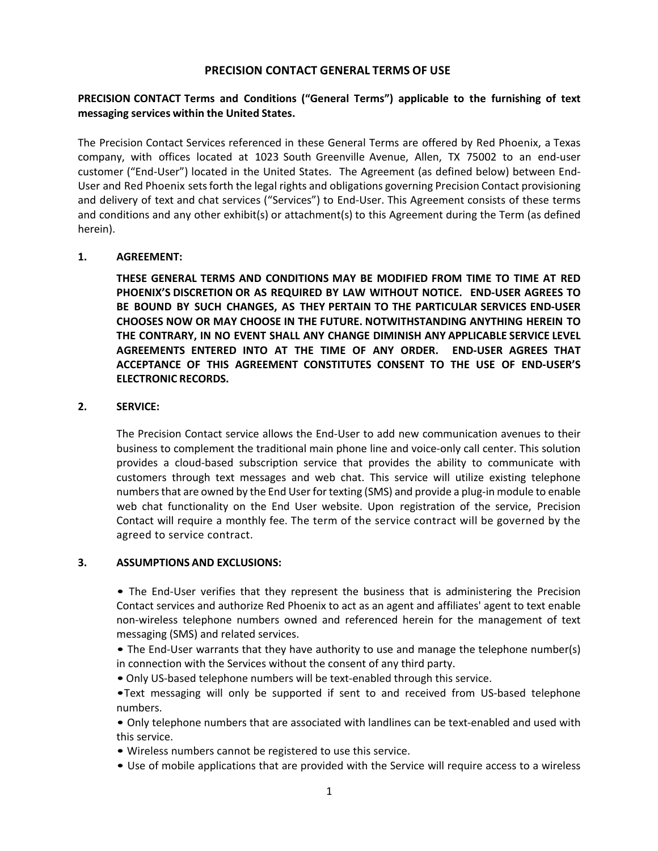### **PRECISION CONTACT GENERAL TERMS OF USE**

# **PRECISION CONTACT Terms and Conditions ("General Terms") applicable to the furnishing of text messaging services within the United States.**

The Precision Contact Services referenced in these General Terms are offered by Red Phoenix, a Texas company, with offices located at 1023 South Greenville Avenue, Allen, TX 75002 to an end-user customer ("End-User") located in the United States. The Agreement (as defined below) between End-User and Red Phoenix sets forth the legal rights and obligations governing Precision Contact provisioning and delivery of text and chat services ("Services") to End-User. This Agreement consists of these terms and conditions and any other exhibit(s) or attachment(s) to this Agreement during the Term (as defined herein).

### **1. AGREEMENT:**

**THESE GENERAL TERMS AND CONDITIONS MAY BE MODIFIED FROM TIME TO TIME AT RED PHOENIX'S DISCRETION OR AS REQUIRED BY LAW WITHOUT NOTICE. END-USER AGREES TO BE BOUND BY SUCH CHANGES, AS THEY PERTAIN TO THE PARTICULAR SERVICES END-USER CHOOSES NOW OR MAY CHOOSE IN THE FUTURE. NOTWITHSTANDING ANYTHING HEREIN TO THE CONTRARY, IN NO EVENT SHALL ANY CHANGE DIMINISH ANY APPLICABLE SERVICE LEVEL AGREEMENTS ENTERED INTO AT THE TIME OF ANY ORDER. END-USER AGREES THAT ACCEPTANCE OF THIS AGREEMENT CONSTITUTES CONSENT TO THE USE OF END-USER'S ELECTRONIC RECORDS.**

### **2. SERVICE:**

The Precision Contact service allows the End-User to add new communication avenues to their business to complement the traditional main phone line and voice-only call center. This solution provides a cloud-based subscription service that provides the ability to communicate with customers through text messages and web chat. This service will utilize existing telephone numbers that are owned by the End User for texting (SMS) and provide a plug-in module to enable web chat functionality on the End User website. Upon registration of the service, Precision Contact will require a monthly fee. The term of the service contract will be governed by the agreed to service contract.

#### **3. ASSUMPTIONS AND EXCLUSIONS:**

• The End-User verifies that they represent the business that is administering the Precision Contact services and authorize Red Phoenix to act as an agent and affiliates' agent to text enable non-wireless telephone numbers owned and referenced herein for the management of text messaging (SMS) and related services.

- The End-User warrants that they have authority to use and manage the telephone number(s) in connection with the Services without the consent of any third party.
- •Only US-based telephone numbers will be text-enabled through this service.

•Text messaging will only be supported if sent to and received from US-based telephone numbers.

• Only telephone numbers that are associated with landlines can be text-enabled and used with this service.

- Wireless numbers cannot be registered to use this service.
- Use of mobile applications that are provided with the Service will require access to a wireless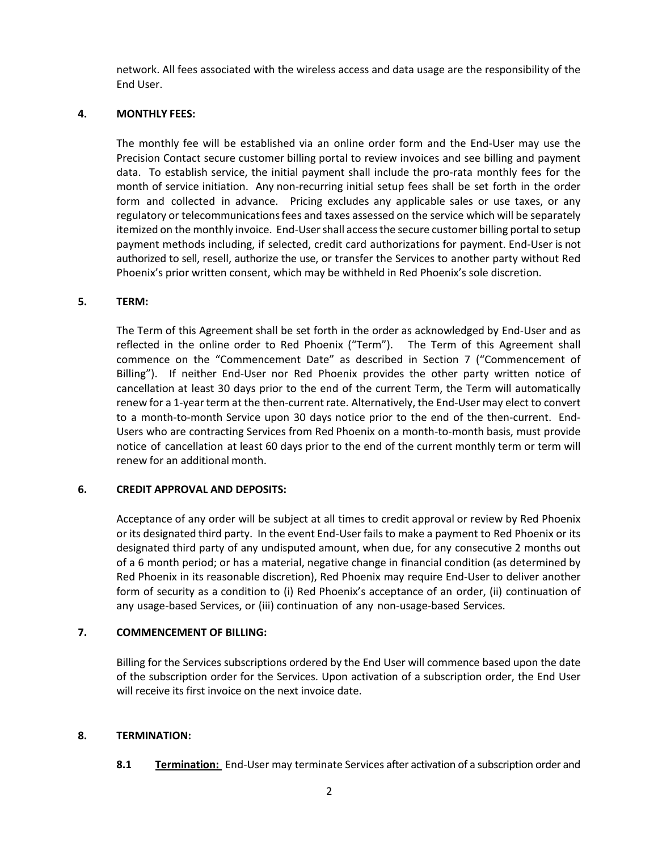network. All fees associated with the wireless access and data usage are the responsibility of the End User.

#### **4. MONTHLY FEES:**

The monthly fee will be established via an online order form and the End-User may use the Precision Contact secure customer billing portal to review invoices and see billing and payment data. To establish service, the initial payment shall include the pro-rata monthly fees for the month of service initiation. Any non-recurring initial setup fees shall be set forth in the order form and collected in advance. Pricing excludes any applicable sales or use taxes, or any regulatory or telecommunications fees and taxes assessed on the service which will be separately itemized on the monthly invoice. End-Usershall accessthe secure customer billing portal to setup payment methods including, if selected, credit card authorizations for payment. End-User is not authorized to sell, resell, authorize the use, or transfer the Services to another party without Red Phoenix's prior written consent, which may be withheld in Red Phoenix's sole discretion.

### **5. TERM:**

The Term of this Agreement shall be set forth in the order as acknowledged by End-User and as reflected in the online order to Red Phoenix ("Term"). The Term of this Agreement shall commence on the "Commencement Date" as described in Section 7 ("Commencement of Billing"). If neither End-User nor Red Phoenix provides the other party written notice of cancellation at least 30 days prior to the end of the current Term, the Term will automatically renew for a 1-year term at the then-current rate. Alternatively, the End-User may elect to convert to a month-to-month Service upon 30 days notice prior to the end of the then-current. End-Users who are contracting Services from Red Phoenix on a month-to-month basis, must provide notice of cancellation at least 60 days prior to the end of the current monthly term or term will renew for an additional month.

#### **6. CREDIT APPROVAL AND DEPOSITS:**

Acceptance of any order will be subject at all times to credit approval or review by Red Phoenix or its designated third party. In the event End-User fails to make a payment to Red Phoenix or its designated third party of any undisputed amount, when due, for any consecutive 2 months out of a 6 month period; or has a material, negative change in financial condition (as determined by Red Phoenix in its reasonable discretion), Red Phoenix may require End-User to deliver another form of security as a condition to (i) Red Phoenix's acceptance of an order, (ii) continuation of any usage-based Services, or (iii) continuation of any non-usage-based Services.

### **7. COMMENCEMENT OF BILLING:**

Billing for the Services subscriptions ordered by the End User will commence based upon the date of the subscription order for the Services. Upon activation of a subscription order, the End User will receive its first invoice on the next invoice date.

#### **8. TERMINATION:**

**8.1 Termination:** End-User may terminate Services after activation of a subscription order and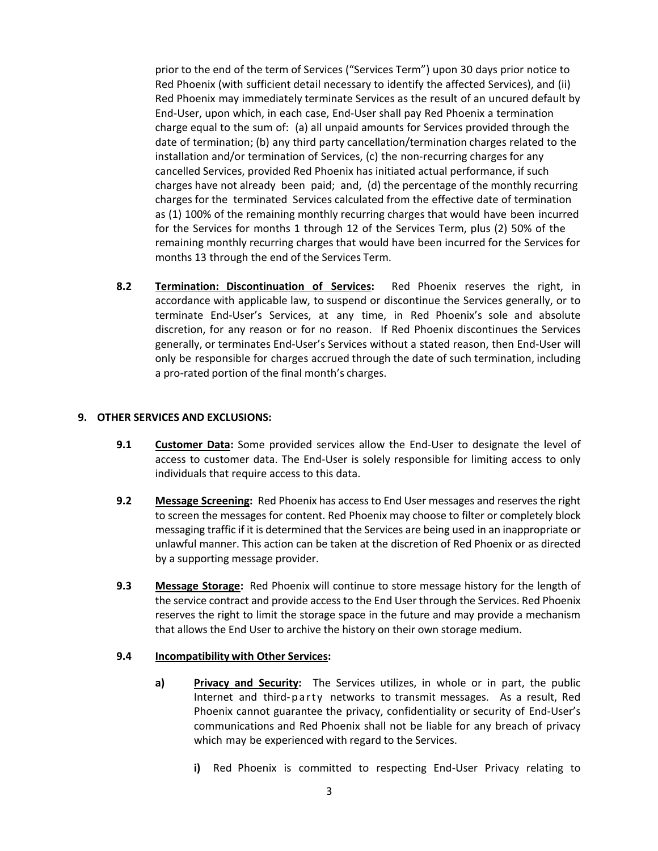prior to the end of the term of Services ("Services Term") upon 30 days prior notice to Red Phoenix (with sufficient detail necessary to identify the affected Services), and (ii) Red Phoenix may immediately terminate Services as the result of an uncured default by End-User, upon which, in each case, End-User shall pay Red Phoenix a termination charge equal to the sum of: (a) all unpaid amounts for Services provided through the date of termination; (b) any third party cancellation/termination charges related to the installation and/or termination of Services, (c) the non-recurring charges for any cancelled Services, provided Red Phoenix has initiated actual performance, if such charges have not already been paid; and, (d) the percentage of the monthly recurring charges for the terminated Services calculated from the effective date of termination as (1) 100% of the remaining monthly recurring charges that would have been incurred for the Services for months 1 through 12 of the Services Term, plus (2) 50% of the remaining monthly recurring charges that would have been incurred for the Services for months 13 through the end of the Services Term.

**8.2 Termination: Discontinuation of Services:** Red Phoenix reserves the right, in accordance with applicable law, to suspend or discontinue the Services generally, or to terminate End-User's Services, at any time, in Red Phoenix's sole and absolute discretion, for any reason or for no reason. If Red Phoenix discontinues the Services generally, or terminates End-User's Services without a stated reason, then End-User will only be responsible for charges accrued through the date of such termination, including a pro-rated portion of the final month's charges.

# **9. OTHER SERVICES AND EXCLUSIONS:**

- **9.1 Customer Data:** Some provided services allow the End-User to designate the level of access to customer data. The End-User is solely responsible for limiting access to only individuals that require access to this data.
- **9.2 Message Screening:** Red Phoenix has access to End User messages and reserves the right to screen the messages for content. Red Phoenix may choose to filter or completely block messaging traffic if it is determined that the Services are being used in an inappropriate or unlawful manner. This action can be taken at the discretion of Red Phoenix or as directed by a supporting message provider.
- **9.3 Message Storage:** Red Phoenix will continue to store message history for the length of the service contract and provide access to the End User through the Services. Red Phoenix reserves the right to limit the storage space in the future and may provide a mechanism that allows the End User to archive the history on their own storage medium.

#### **9.4 Incompatibility with Other Services:**

- **a) Privacy and Security:** The Services utilizes, in whole or in part, the public Internet and third-party networks to transmit messages. As a result, Red Phoenix cannot guarantee the privacy, confidentiality or security of End-User's communications and Red Phoenix shall not be liable for any breach of privacy which may be experienced with regard to the Services.
	- **i)** Red Phoenix is committed to respecting End-User Privacy relating to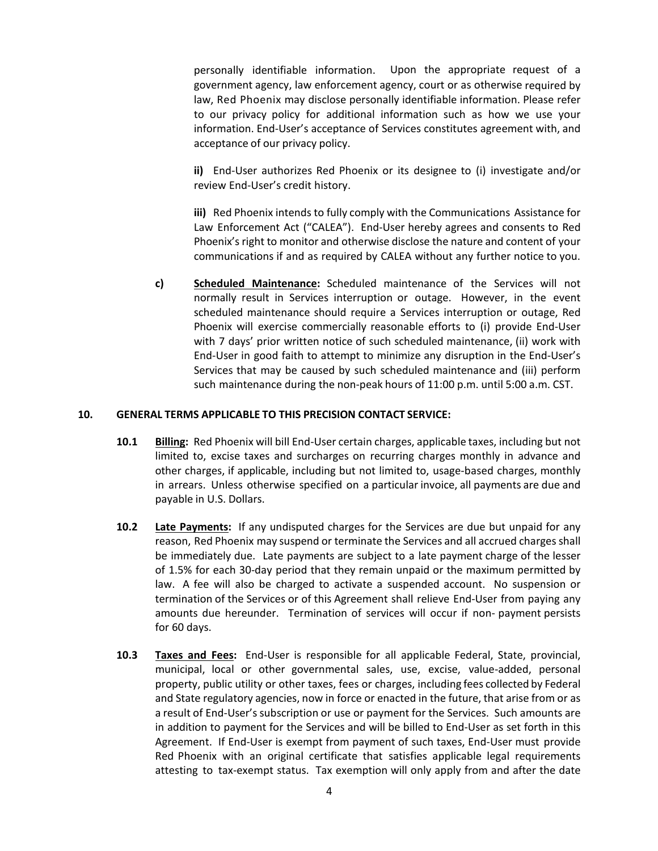personally identifiable information. Upon the appropriate request of a government agency, law enforcement agency, court or as otherwise required by law, Red Phoenix may disclose personally identifiable information. Please refer to our privacy policy for additional information such as how we use your information. End-User's acceptance of Services constitutes agreement with, and acceptance of our privacy policy.

**ii)** End-User authorizes Red Phoenix or its designee to (i) investigate and/or review End-User's credit history.

**iii)** Red Phoenix intends to fully comply with the Communications Assistance for Law Enforcement Act ("CALEA"). End-User hereby agrees and consents to Red Phoenix's right to monitor and otherwise disclose the nature and content of your communications if and as required by CALEA without any further notice to you.

**c) Scheduled Maintenance:** Scheduled maintenance of the Services will not normally result in Services interruption or outage. However, in the event scheduled maintenance should require a Services interruption or outage, Red Phoenix will exercise commercially reasonable efforts to (i) provide End-User with 7 days' prior written notice of such scheduled maintenance, (ii) work with End-User in good faith to attempt to minimize any disruption in the End-User's Services that may be caused by such scheduled maintenance and (iii) perform such maintenance during the non-peak hours of 11:00 p.m. until 5:00 a.m. CST.

### **10. GENERAL TERMS APPLICABLE TO THIS PRECISION CONTACT SERVICE:**

- **10.1 Billing:** Red Phoenix will bill End-User certain charges, applicable taxes, including but not limited to, excise taxes and surcharges on recurring charges monthly in advance and other charges, if applicable, including but not limited to, usage-based charges, monthly in arrears. Unless otherwise specified on a particular invoice, all payments are due and payable in U.S. Dollars.
- **10.2 Late Payments:** If any undisputed charges for the Services are due but unpaid for any reason, Red Phoenix may suspend or terminate the Services and all accrued charges shall be immediately due. Late payments are subject to a late payment charge of the lesser of 1.5% for each 30-day period that they remain unpaid or the maximum permitted by law. A fee will also be charged to activate a suspended account. No suspension or termination of the Services or of this Agreement shall relieve End-User from paying any amounts due hereunder. Termination of services will occur if non- payment persists for 60 days.
- **10.3 Taxes and Fees:** End-User is responsible for all applicable Federal, State, provincial, municipal, local or other governmental sales, use, excise, value-added, personal property, public utility or other taxes, fees or charges, including fees collected by Federal and State regulatory agencies, now in force or enacted in the future, that arise from or as a result of End-User's subscription or use or payment for the Services. Such amounts are in addition to payment for the Services and will be billed to End-User as set forth in this Agreement. If End-User is exempt from payment of such taxes, End-User must provide Red Phoenix with an original certificate that satisfies applicable legal requirements attesting to tax-exempt status. Tax exemption will only apply from and after the date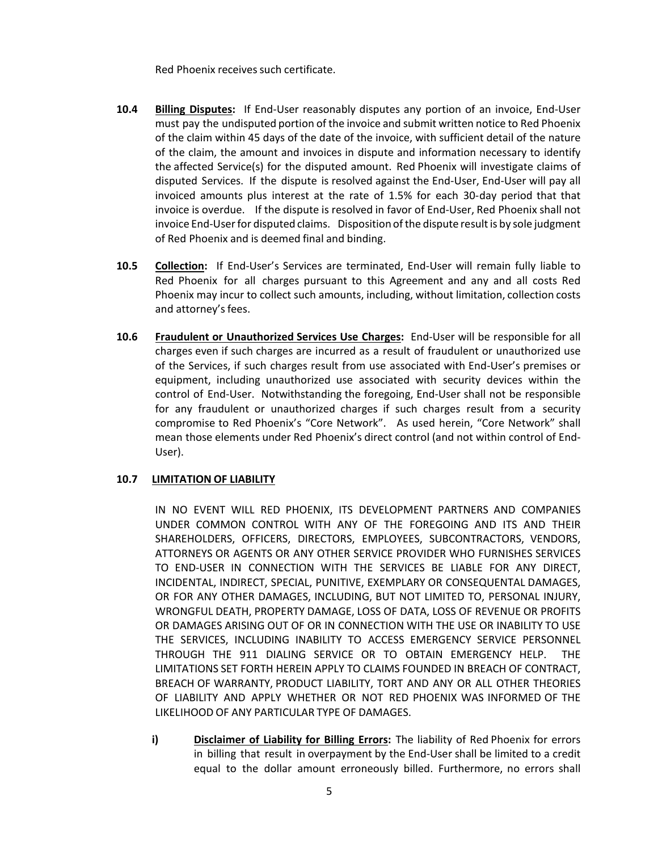Red Phoenix receives such certificate.

- **10.4 Billing Disputes:** If End-User reasonably disputes any portion of an invoice, End-User must pay the undisputed portion of the invoice and submit written notice to Red Phoenix of the claim within 45 days of the date of the invoice, with sufficient detail of the nature of the claim, the amount and invoices in dispute and information necessary to identify the affected Service(s) for the disputed amount. Red Phoenix will investigate claims of disputed Services. If the dispute is resolved against the End-User, End-User will pay all invoiced amounts plus interest at the rate of 1.5% for each 30-day period that that invoice is overdue. If the dispute is resolved in favor of End-User, Red Phoenix shall not invoice End-User for disputed claims. Disposition of the dispute result is by sole judgment of Red Phoenix and is deemed final and binding.
- **10.5 Collection:** If End-User's Services are terminated, End-User will remain fully liable to Red Phoenix for all charges pursuant to this Agreement and any and all costs Red Phoenix may incur to collect such amounts, including, without limitation, collection costs and attorney's fees.
- **10.6 Fraudulent or Unauthorized Services Use Charges:** End-User will be responsible for all charges even if such charges are incurred as a result of fraudulent or unauthorized use of the Services, if such charges result from use associated with End-User's premises or equipment, including unauthorized use associated with security devices within the control of End-User. Notwithstanding the foregoing, End-User shall not be responsible for any fraudulent or unauthorized charges if such charges result from a security compromise to Red Phoenix's "Core Network". As used herein, "Core Network" shall mean those elements under Red Phoenix's direct control (and not within control of End-User).

# **10.7 LIMITATION OF LIABILITY**

IN NO EVENT WILL RED PHOENIX, ITS DEVELOPMENT PARTNERS AND COMPANIES UNDER COMMON CONTROL WITH ANY OF THE FOREGOING AND ITS AND THEIR SHAREHOLDERS, OFFICERS, DIRECTORS, EMPLOYEES, SUBCONTRACTORS, VENDORS, ATTORNEYS OR AGENTS OR ANY OTHER SERVICE PROVIDER WHO FURNISHES SERVICES TO END-USER IN CONNECTION WITH THE SERVICES BE LIABLE FOR ANY DIRECT, INCIDENTAL, INDIRECT, SPECIAL, PUNITIVE, EXEMPLARY OR CONSEQUENTAL DAMAGES, OR FOR ANY OTHER DAMAGES, INCLUDING, BUT NOT LIMITED TO, PERSONAL INJURY, WRONGFUL DEATH, PROPERTY DAMAGE, LOSS OF DATA, LOSS OF REVENUE OR PROFITS OR DAMAGES ARISING OUT OF OR IN CONNECTION WITH THE USE OR INABILITY TO USE THE SERVICES, INCLUDING INABILITY TO ACCESS EMERGENCY SERVICE PERSONNEL THROUGH THE 911 DIALING SERVICE OR TO OBTAIN EMERGENCY HELP. THE LIMITATIONS SET FORTH HEREIN APPLY TO CLAIMS FOUNDED IN BREACH OF CONTRACT, BREACH OF WARRANTY, PRODUCT LIABILITY, TORT AND ANY OR ALL OTHER THEORIES OF LIABILITY AND APPLY WHETHER OR NOT RED PHOENIX WAS INFORMED OF THE LIKELIHOOD OF ANY PARTICULAR TYPE OF DAMAGES.

**i) Disclaimer of Liability for Billing Errors:** The liability of Red Phoenix for errors in billing that result in overpayment by the End-User shall be limited to a credit equal to the dollar amount erroneously billed. Furthermore, no errors shall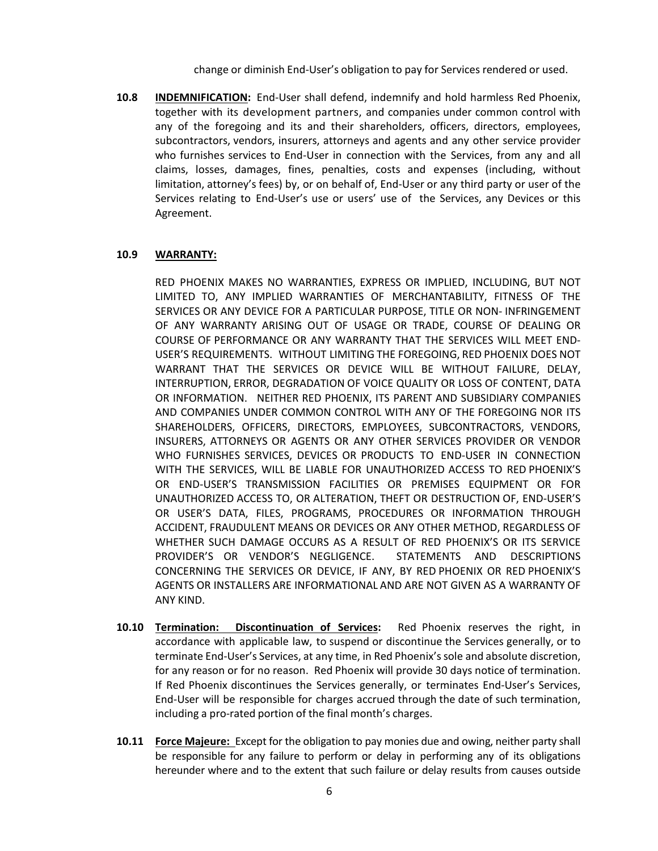change or diminish End-User's obligation to pay for Services rendered or used.

**10.8 INDEMNIFICATION:** End-User shall defend, indemnify and hold harmless Red Phoenix, together with its development partners, and companies under common control with any of the foregoing and its and their shareholders, officers, directors, employees, subcontractors, vendors, insurers, attorneys and agents and any other service provider who furnishes services to End-User in connection with the Services, from any and all claims, losses, damages, fines, penalties, costs and expenses (including, without limitation, attorney's fees) by, or on behalf of, End-User or any third party or user of the Services relating to End-User's use or users' use of the Services, any Devices or this Agreement.

#### **10.9 WARRANTY:**

RED PHOENIX MAKES NO WARRANTIES, EXPRESS OR IMPLIED, INCLUDING, BUT NOT LIMITED TO, ANY IMPLIED WARRANTIES OF MERCHANTABILITY, FITNESS OF THE SERVICES OR ANY DEVICE FOR A PARTICULAR PURPOSE, TITLE OR NON- INFRINGEMENT OF ANY WARRANTY ARISING OUT OF USAGE OR TRADE, COURSE OF DEALING OR COURSE OF PERFORMANCE OR ANY WARRANTY THAT THE SERVICES WILL MEET END-USER'S REQUIREMENTS. WITHOUT LIMITING THE FOREGOING, RED PHOENIX DOES NOT WARRANT THAT THE SERVICES OR DEVICE WILL BE WITHOUT FAILURE, DELAY, INTERRUPTION, ERROR, DEGRADATION OF VOICE QUALITY OR LOSS OF CONTENT, DATA OR INFORMATION. NEITHER RED PHOENIX, ITS PARENT AND SUBSIDIARY COMPANIES AND COMPANIES UNDER COMMON CONTROL WITH ANY OF THE FOREGOING NOR ITS SHAREHOLDERS, OFFICERS, DIRECTORS, EMPLOYEES, SUBCONTRACTORS, VENDORS, INSURERS, ATTORNEYS OR AGENTS OR ANY OTHER SERVICES PROVIDER OR VENDOR WHO FURNISHES SERVICES, DEVICES OR PRODUCTS TO END-USER IN CONNECTION WITH THE SERVICES, WILL BE LIABLE FOR UNAUTHORIZED ACCESS TO RED PHOENIX'S OR END-USER'S TRANSMISSION FACILITIES OR PREMISES EQUIPMENT OR FOR UNAUTHORIZED ACCESS TO, OR ALTERATION, THEFT OR DESTRUCTION OF, END-USER'S OR USER'S DATA, FILES, PROGRAMS, PROCEDURES OR INFORMATION THROUGH ACCIDENT, FRAUDULENT MEANS OR DEVICES OR ANY OTHER METHOD, REGARDLESS OF WHETHER SUCH DAMAGE OCCURS AS A RESULT OF RED PHOENIX'S OR ITS SERVICE PROVIDER'S OR VENDOR'S NEGLIGENCE. STATEMENTS AND DESCRIPTIONS CONCERNING THE SERVICES OR DEVICE, IF ANY, BY RED PHOENIX OR RED PHOENIX'S AGENTS OR INSTALLERS ARE INFORMATIONAL AND ARE NOT GIVEN AS A WARRANTY OF ANY KIND.

- **10.10 Termination: Discontinuation of Services:** Red Phoenix reserves the right, in accordance with applicable law, to suspend or discontinue the Services generally, or to terminate End-User's Services, at any time, in Red Phoenix'ssole and absolute discretion, for any reason or for no reason. Red Phoenix will provide 30 days notice of termination. If Red Phoenix discontinues the Services generally, or terminates End-User's Services, End-User will be responsible for charges accrued through the date of such termination, including a pro-rated portion of the final month's charges.
- **10.11 Force Majeure:** Except for the obligation to pay monies due and owing, neither party shall be responsible for any failure to perform or delay in performing any of its obligations hereunder where and to the extent that such failure or delay results from causes outside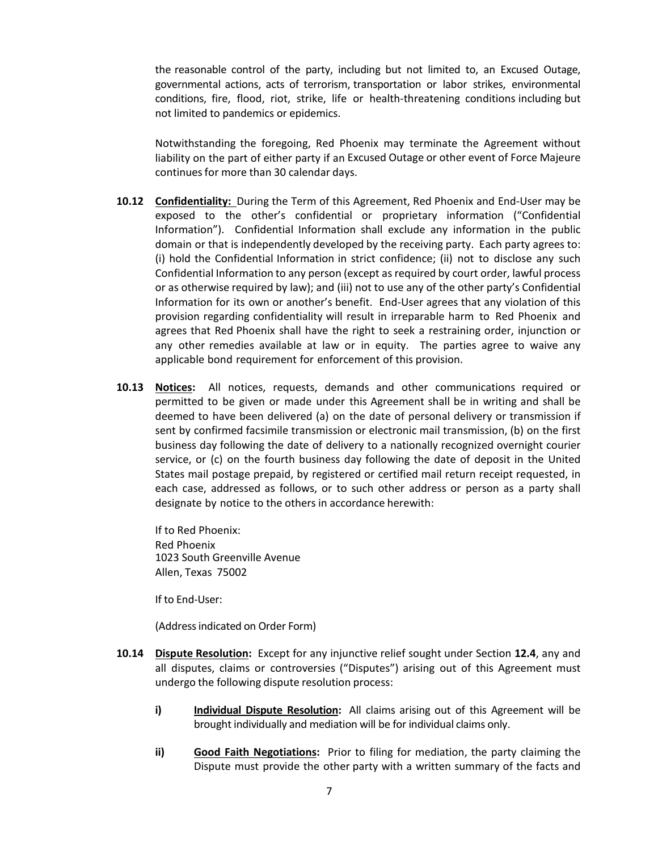the reasonable control of the party, including but not limited to, an Excused Outage, governmental actions, acts of terrorism, transportation or labor strikes, environmental conditions, fire, flood, riot, strike, life or health-threatening conditions including but not limited to pandemics or epidemics.

Notwithstanding the foregoing, Red Phoenix may terminate the Agreement without liability on the part of either party if an Excused Outage or other event of Force Majeure continues for more than 30 calendar days.

- **10.12 Confidentiality:** During the Term of this Agreement, Red Phoenix and End-User may be exposed to the other's confidential or proprietary information ("Confidential Information"). Confidential Information shall exclude any information in the public domain or that is independently developed by the receiving party. Each party agrees to: (i) hold the Confidential Information in strict confidence; (ii) not to disclose any such Confidential Information to any person (except as required by court order, lawful process or as otherwise required by law); and (iii) not to use any of the other party's Confidential Information for its own or another's benefit. End-User agrees that any violation of this provision regarding confidentiality will result in irreparable harm to Red Phoenix and agrees that Red Phoenix shall have the right to seek a restraining order, injunction or any other remedies available at law or in equity. The parties agree to waive any applicable bond requirement for enforcement of this provision.
- **10.13 Notices:** All notices, requests, demands and other communications required or permitted to be given or made under this Agreement shall be in writing and shall be deemed to have been delivered (a) on the date of personal delivery or transmission if sent by confirmed facsimile transmission or electronic mail transmission, (b) on the first business day following the date of delivery to a nationally recognized overnight courier service, or (c) on the fourth business day following the date of deposit in the United States mail postage prepaid, by registered or certified mail return receipt requested, in each case, addressed as follows, or to such other address or person as a party shall designate by notice to the others in accordance herewith:

If to Red Phoenix: Red Phoenix 1023 South Greenville Avenue Allen, Texas 75002

If to End-User:

(Addressindicated on Order Form)

- **10.14 Dispute Resolution:** Except for any injunctive relief sought under Section **12.4**, any and all disputes, claims or controversies ("Disputes") arising out of this Agreement must undergo the following dispute resolution process:
	- **i) Individual Dispute Resolution:** All claims arising out of this Agreement will be brought individually and mediation will be for individual claims only.
	- **ii) Good Faith Negotiations:** Prior to filing for mediation, the party claiming the Dispute must provide the other party with a written summary of the facts and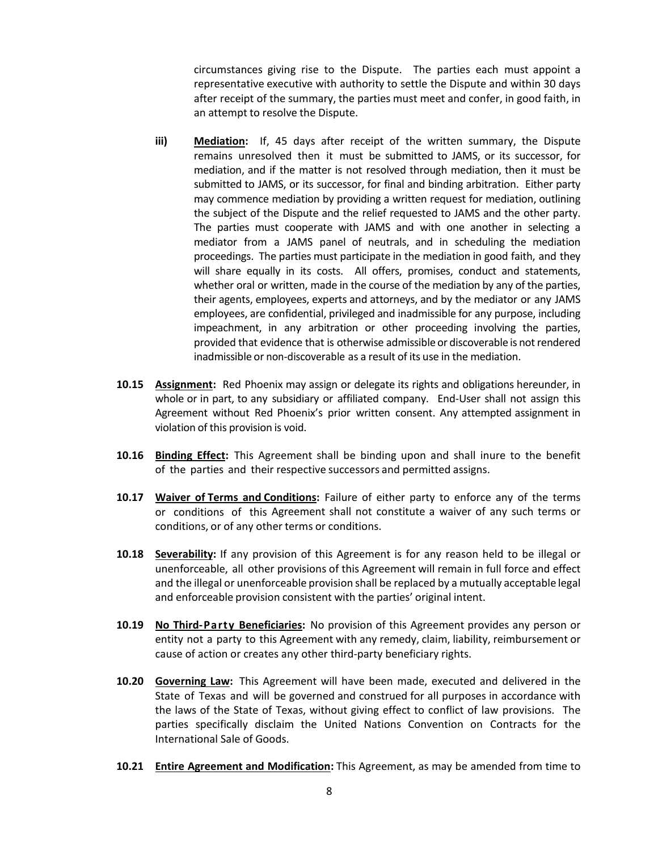circumstances giving rise to the Dispute. The parties each must appoint a representative executive with authority to settle the Dispute and within 30 days after receipt of the summary, the parties must meet and confer, in good faith, in an attempt to resolve the Dispute.

- **iii) Mediation:** If, 45 days after receipt of the written summary, the Dispute remains unresolved then it must be submitted to JAMS, or its successor, for mediation, and if the matter is not resolved through mediation, then it must be submitted to JAMS, or its successor, for final and binding arbitration. Either party may commence mediation by providing a written request for mediation, outlining the subject of the Dispute and the relief requested to JAMS and the other party. The parties must cooperate with JAMS and with one another in selecting a mediator from a JAMS panel of neutrals, and in scheduling the mediation proceedings. The parties must participate in the mediation in good faith, and they will share equally in its costs. All offers, promises, conduct and statements, whether oral or written, made in the course of the mediation by any of the parties, their agents, employees, experts and attorneys, and by the mediator or any JAMS employees, are confidential, privileged and inadmissible for any purpose, including impeachment, in any arbitration or other proceeding involving the parties, provided that evidence that is otherwise admissible or discoverable is notrendered inadmissible or non-discoverable as a result of its use in the mediation.
- **10.15 Assignment:** Red Phoenix may assign or delegate its rights and obligations hereunder, in whole or in part, to any subsidiary or affiliated company. End-User shall not assign this Agreement without Red Phoenix's prior written consent. Any attempted assignment in violation of this provision is void.
- **10.16 Binding Effect:** This Agreement shall be binding upon and shall inure to the benefit of the parties and their respective successors and permitted assigns.
- **10.17 Waiver of Terms and Conditions:** Failure of either party to enforce any of the terms or conditions of this Agreement shall not constitute a waiver of any such terms or conditions, or of any other terms or conditions.
- **10.18 Severability:** If any provision of this Agreement is for any reason held to be illegal or unenforceable, all other provisions of this Agreement will remain in full force and effect and the illegal or unenforceable provision shall be replaced by a mutually acceptable legal and enforceable provision consistent with the parties' original intent.
- **10.19 No Third-Party Beneficiaries:** No provision of this Agreement provides any person or entity not a party to this Agreement with any remedy, claim, liability, reimbursement or cause of action or creates any other third-party beneficiary rights.
- **10.20 Governing Law:** This Agreement will have been made, executed and delivered in the State of Texas and will be governed and construed for all purposes in accordance with the laws of the State of Texas, without giving effect to conflict of law provisions. The parties specifically disclaim the United Nations Convention on Contracts for the International Sale of Goods.
- **10.21 Entire Agreement and Modification:** This Agreement, as may be amended from time to